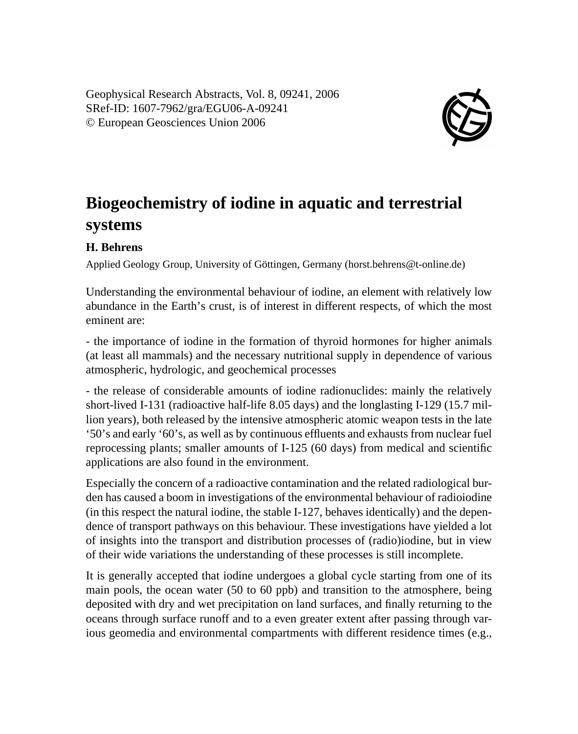Geophysical Research Abstracts, Vol. 8, 09241, 2006 SRef-ID: 1607-7962/gra/EGU06-A-09241 © European Geosciences Union 2006



## **Biogeochemistry of iodine in aquatic and terrestrial systems**

## **H. Behrens**

Applied Geology Group, University of Göttingen, Germany (horst.behrens@t-online.de)

Understanding the environmental behaviour of iodine, an element with relatively low abundance in the Earth's crust, is of interest in different respects, of which the most eminent are:

- the importance of iodine in the formation of thyroid hormones for higher animals (at least all mammals) and the necessary nutritional supply in dependence of various atmospheric, hydrologic, and geochemical processes

- the release of considerable amounts of iodine radionuclides: mainly the relatively short-lived I-131 (radioactive half-life 8.05 days) and the longlasting I-129 (15.7 million years), both released by the intensive atmospheric atomic weapon tests in the late '50's and early '60's, as well as by continuous effluents and exhausts from nuclear fuel reprocessing plants; smaller amounts of I-125 (60 days) from medical and scientific applications are also found in the environment.

Especially the concern of a radioactive contamination and the related radiological burden has caused a boom in investigations of the environmental behaviour of radioiodine (in this respect the natural iodine, the stable I-127, behaves identically) and the dependence of transport pathways on this behaviour. These investigations have yielded a lot of insights into the transport and distribution processes of (radio)iodine, but in view of their wide variations the understanding of these processes is still incomplete.

It is generally accepted that iodine undergoes a global cycle starting from one of its main pools, the ocean water (50 to 60 ppb) and transition to the atmosphere, being deposited with dry and wet precipitation on land surfaces, and finally returning to the oceans through surface runoff and to a even greater extent after passing through various geomedia and environmental compartments with different residence times (e.g.,